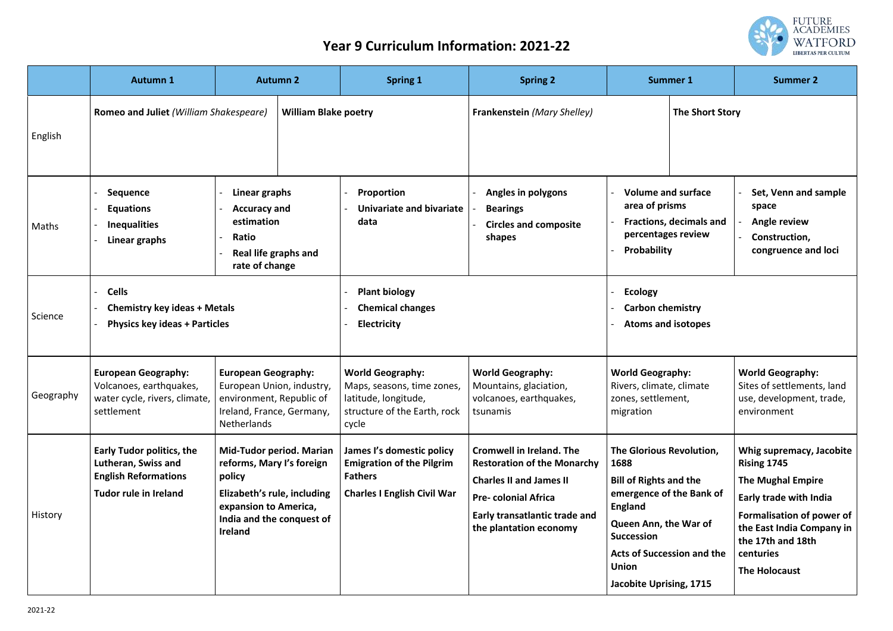

## **Year 9 Curriculum Information: 2021-22**

|                | <b>Autumn 1</b>                                                                                                        |                                                                                                                                            | <b>Autumn 2</b>                 | <b>Spring 1</b>                                                                                                        | <b>Spring 2</b>                                                                                                                                                                                  |                                                                                                                                                                                                                 | <b>Summer 1</b>                   | <b>Summer 2</b>                                                                                                                                                                                                                 |
|----------------|------------------------------------------------------------------------------------------------------------------------|--------------------------------------------------------------------------------------------------------------------------------------------|---------------------------------|------------------------------------------------------------------------------------------------------------------------|--------------------------------------------------------------------------------------------------------------------------------------------------------------------------------------------------|-----------------------------------------------------------------------------------------------------------------------------------------------------------------------------------------------------------------|-----------------------------------|---------------------------------------------------------------------------------------------------------------------------------------------------------------------------------------------------------------------------------|
| English        | Romeo and Juliet (William Shakespeare)                                                                                 |                                                                                                                                            | <b>William Blake poetry</b>     |                                                                                                                        | <b>Frankenstein (Mary Shelley)</b>                                                                                                                                                               |                                                                                                                                                                                                                 | <b>The Short Story</b>            |                                                                                                                                                                                                                                 |
| Maths          | <b>Sequence</b><br><b>Equations</b><br><b>Inequalities</b><br>Linear graphs                                            | Linear graphs<br><b>Accuracy and</b><br>estimation<br>Ratio<br><b>Real life graphs and</b><br>rate of change                               |                                 | Proportion<br>Univariate and bivariate<br>data                                                                         | <b>Angles in polygons</b><br><b>Bearings</b><br><b>Circles and composite</b><br>shapes                                                                                                           | <b>Volume and surface</b><br>area of prisms<br><b>Fractions, decimals and</b><br>percentages review<br>Probability                                                                                              |                                   | Set, Venn and sample<br>space<br><b>Angle review</b><br>Construction,<br>congruence and loci                                                                                                                                    |
| Science        | <b>Cells</b><br><b>Chemistry key ideas + Metals</b><br><b>Physics key ideas + Particles</b>                            |                                                                                                                                            |                                 | <b>Plant biology</b><br><b>Chemical changes</b><br><b>Electricity</b>                                                  |                                                                                                                                                                                                  | <b>Ecology</b><br><b>Carbon chemistry</b><br><b>Atoms and isotopes</b>                                                                                                                                          |                                   |                                                                                                                                                                                                                                 |
| Geography      | <b>European Geography:</b><br>Volcanoes, earthquakes,<br>water cycle, rivers, climate,<br>settlement                   | <b>European Geography:</b><br>European Union, industry,<br>environment, Republic of<br>Ireland, France, Germany,<br><b>Netherlands</b>     |                                 | <b>World Geography:</b><br>Maps, seasons, time zones,<br>latitude, longitude,<br>structure of the Earth, rock<br>cycle | <b>World Geography:</b><br>Mountains, glaciation,<br>volcanoes, earthquakes,<br>tsunamis                                                                                                         | <b>World Geography:</b><br>Rivers, climate, climate<br>zones, settlement,<br>migration                                                                                                                          |                                   | <b>World Geography:</b><br>Sites of settlements, land<br>use, development, trade,<br>environment                                                                                                                                |
| <b>History</b> | <b>Early Tudor politics, the</b><br>Lutheran, Swiss and<br><b>English Reformations</b><br><b>Tudor rule in Ireland</b> | reforms, Mary I's foreign<br>policy<br>Elizabeth's rule, including<br>expansion to America,<br>India and the conquest of<br><b>Ireland</b> | <b>Mid-Tudor period. Marian</b> | James I's domestic policy<br><b>Emigration of the Pilgrim</b><br><b>Fathers</b><br><b>Charles I English Civil War</b>  | <b>Cromwell in Ireland. The</b><br><b>Restoration of the Monarchy</b><br><b>Charles II and James II</b><br><b>Pre-colonial Africa</b><br>Early transatlantic trade and<br>the plantation economy | The Glorious Revolution,<br>1688<br><b>Bill of Rights and the</b><br>emergence of the Bank of<br><b>England</b><br><b>Queen Ann, the War of</b><br><b>Succession</b><br><b>Union</b><br>Jacobite Uprising, 1715 | <b>Acts of Succession and the</b> | Whig supremacy, Jacobite<br>Rising 1745<br><b>The Mughal Empire</b><br><b>Early trade with India</b><br><b>Formalisation of power of</b><br>the East India Company in<br>the 17th and 18th<br>centuries<br><b>The Holocaust</b> |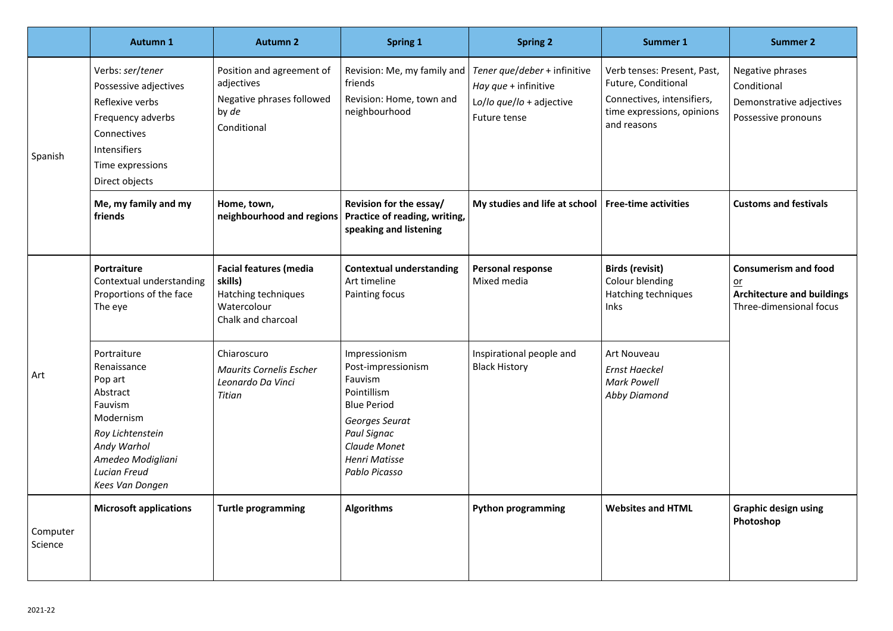|                     | <b>Autumn 1</b>                                                                                                                                                                    | <b>Autumn 2</b>                                                                                      | <b>Spring 1</b>                                                                                                                                                               | <b>Spring 2</b>                                                                                  | <b>Summer 1</b>                                                                                                               | <b>Summer 2</b>                                                                                     |
|---------------------|------------------------------------------------------------------------------------------------------------------------------------------------------------------------------------|------------------------------------------------------------------------------------------------------|-------------------------------------------------------------------------------------------------------------------------------------------------------------------------------|--------------------------------------------------------------------------------------------------|-------------------------------------------------------------------------------------------------------------------------------|-----------------------------------------------------------------------------------------------------|
| Spanish             | Verbs: ser/tener<br>Possessive adjectives<br>Reflexive verbs<br>Frequency adverbs<br>Connectives<br>Intensifiers<br>Time expressions<br>Direct objects                             | Position and agreement of<br>adjectives<br>Negative phrases followed<br>by de<br>Conditional         | Revision: Me, my family and<br>friends<br>Revision: Home, town and<br>neighbourhood                                                                                           | Tener que/deber + infinitive<br>Hay que + infinitive<br>Lo/lo que/lo + adjective<br>Future tense | Verb tenses: Present, Past,<br>Future, Conditional<br>Connectives, intensifiers,<br>time expressions, opinions<br>and reasons | Negative phrases<br>Conditional<br>Demonstrative adjectives<br>Possessive pronouns                  |
|                     | Me, my family and my<br>friends                                                                                                                                                    | Home, town,<br>neighbourhood and regions                                                             | Revision for the essay/<br>Practice of reading, writing,<br>speaking and listening                                                                                            | My studies and life at school   Free-time activities                                             |                                                                                                                               | <b>Customs and festivals</b>                                                                        |
| Art                 | Portraiture<br>Contextual understanding<br>Proportions of the face<br>The eye                                                                                                      | <b>Facial features (media</b><br>skills)<br>Hatching techniques<br>Watercolour<br>Chalk and charcoal | <b>Contextual understanding</b><br>Art timeline<br>Painting focus                                                                                                             | <b>Personal response</b><br>Mixed media                                                          | <b>Birds (revisit)</b><br>Colour blending<br>Hatching techniques<br><b>Inks</b>                                               | <b>Consumerism and food</b><br>$or$<br><b>Architecture and buildings</b><br>Three-dimensional focus |
|                     | Portraiture<br>Renaissance<br>Pop art<br>Abstract<br>Fauvism<br>Modernism<br>Roy Lichtenstein<br>Andy Warhol<br>Amedeo Modigliani<br><b>Lucian Freud</b><br><b>Kees Van Dongen</b> | Chiaroscuro<br><b>Maurits Cornelis Escher</b><br>Leonardo Da Vinci<br>Titian                         | Impressionism<br>Post-impressionism<br>Fauvism<br>Pointillism<br><b>Blue Period</b><br>Georges Seurat<br>Paul Signac<br>Claude Monet<br><b>Henri Matisse</b><br>Pablo Picasso | Inspirational people and<br><b>Black History</b>                                                 | <b>Art Nouveau</b><br><b>Ernst Haeckel</b><br><b>Mark Powell</b><br><b>Abby Diamond</b>                                       |                                                                                                     |
| Computer<br>Science | <b>Microsoft applications</b>                                                                                                                                                      | <b>Turtle programming</b>                                                                            | <b>Algorithms</b>                                                                                                                                                             | <b>Python programming</b>                                                                        | <b>Websites and HTML</b>                                                                                                      | <b>Graphic design using</b><br>Photoshop                                                            |